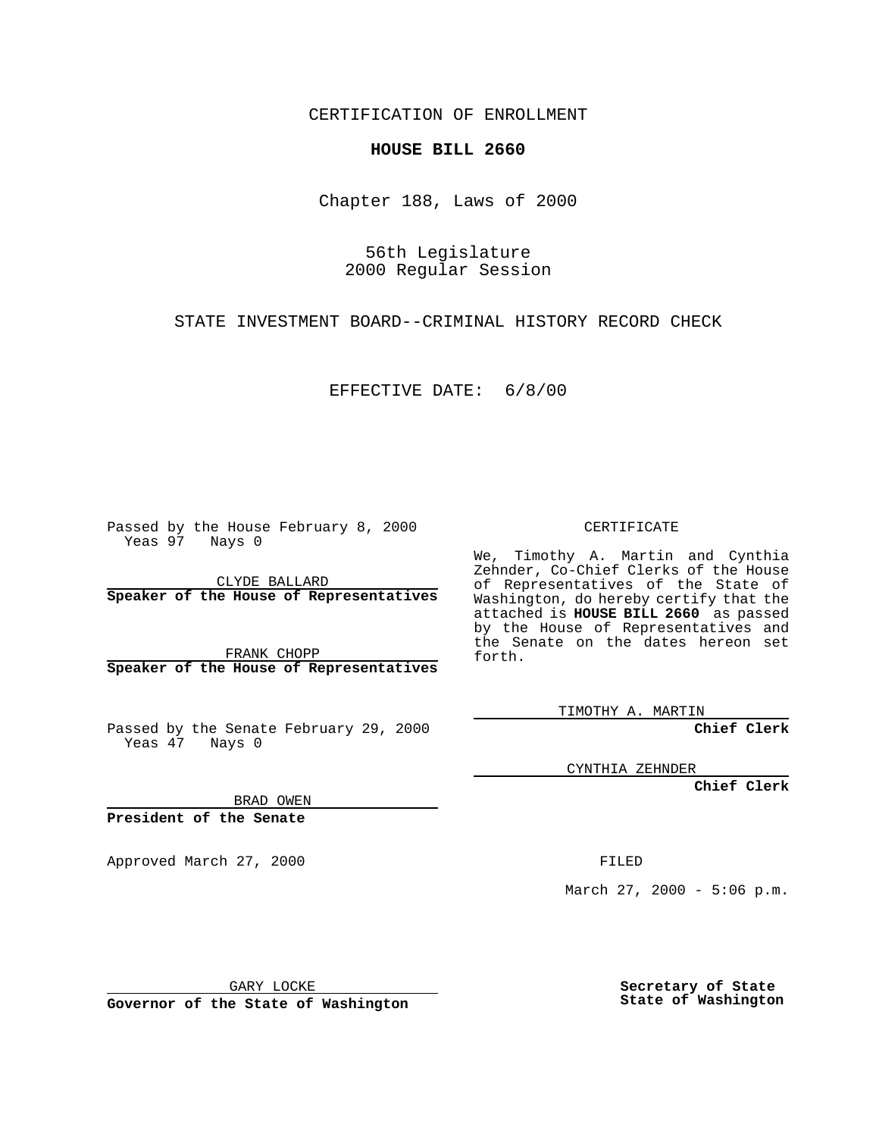CERTIFICATION OF ENROLLMENT

## **HOUSE BILL 2660**

Chapter 188, Laws of 2000

56th Legislature 2000 Regular Session

STATE INVESTMENT BOARD--CRIMINAL HISTORY RECORD CHECK

EFFECTIVE DATE: 6/8/00

Passed by the House February 8, 2000 Yeas 97 Nays 0

CLYDE BALLARD **Speaker of the House of Representatives**

FRANK CHOPP **Speaker of the House of Representatives**

Passed by the Senate February 29, 2000 Yeas 47 Nays 0

CERTIFICATE

We, Timothy A. Martin and Cynthia Zehnder, Co-Chief Clerks of the House of Representatives of the State of Washington, do hereby certify that the attached is **HOUSE BILL 2660** as passed by the House of Representatives and the Senate on the dates hereon set forth.

TIMOTHY A. MARTIN

**Chief Clerk**

CYNTHIA ZEHNDER

**Chief Clerk**

BRAD OWEN

**President of the Senate**

Approved March 27, 2000 FILED

March 27, 2000 - 5:06 p.m.

GARY LOCKE

**Governor of the State of Washington**

**Secretary of State State of Washington**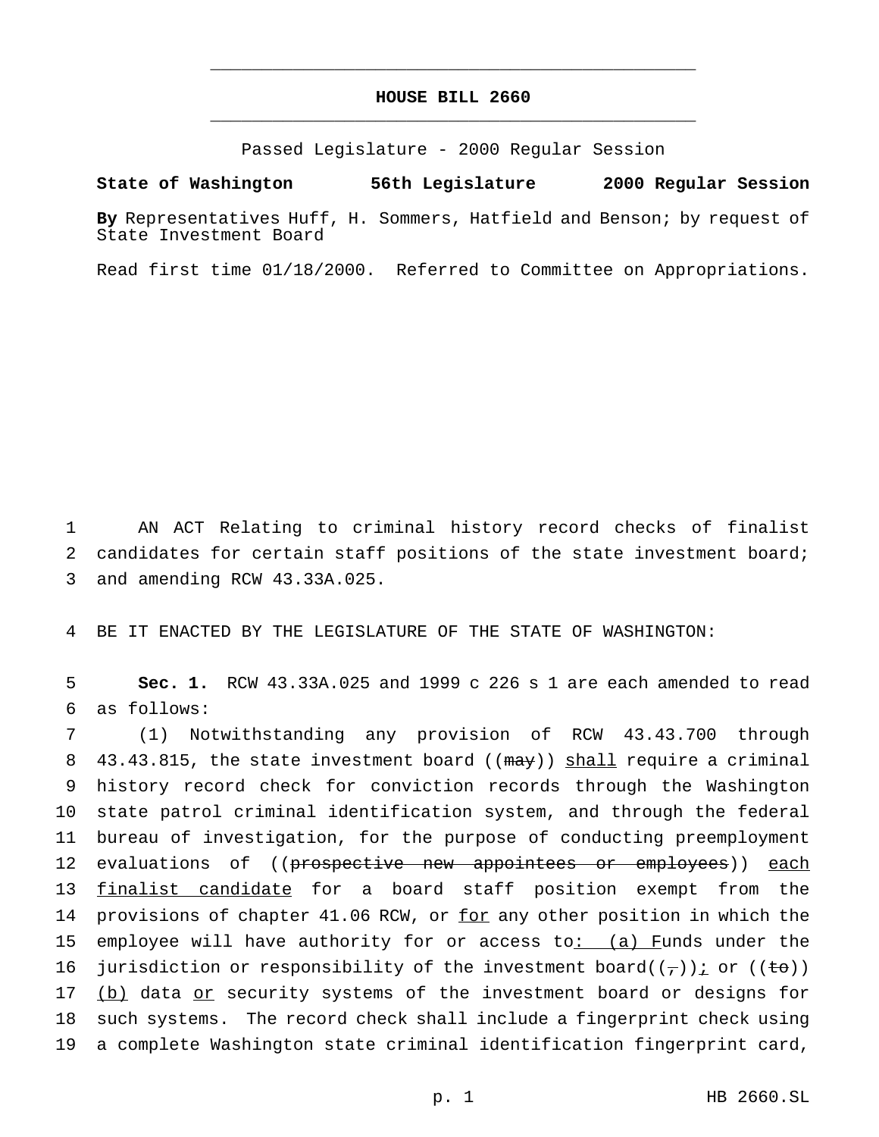## **HOUSE BILL 2660** \_\_\_\_\_\_\_\_\_\_\_\_\_\_\_\_\_\_\_\_\_\_\_\_\_\_\_\_\_\_\_\_\_\_\_\_\_\_\_\_\_\_\_\_\_\_\_

\_\_\_\_\_\_\_\_\_\_\_\_\_\_\_\_\_\_\_\_\_\_\_\_\_\_\_\_\_\_\_\_\_\_\_\_\_\_\_\_\_\_\_\_\_\_\_

Passed Legislature - 2000 Regular Session

**State of Washington 56th Legislature 2000 Regular Session**

**By** Representatives Huff, H. Sommers, Hatfield and Benson; by request of State Investment Board

Read first time 01/18/2000. Referred to Committee on Appropriations.

1 AN ACT Relating to criminal history record checks of finalist 2 candidates for certain staff positions of the state investment board; 3 and amending RCW 43.33A.025.

4 BE IT ENACTED BY THE LEGISLATURE OF THE STATE OF WASHINGTON:

5 **Sec. 1.** RCW 43.33A.025 and 1999 c 226 s 1 are each amended to read 6 as follows:

7 (1) Notwithstanding any provision of RCW 43.43.700 through 8 43.43.815, the state investment board  $((\text{max}))$  shall require a criminal 9 history record check for conviction records through the Washington 10 state patrol criminal identification system, and through the federal 11 bureau of investigation, for the purpose of conducting preemployment 12 evaluations of ((prospective new appointees or employees)) each 13 finalist candidate for a board staff position exempt from the 14 provisions of chapter 41.06 RCW, or for any other position in which the 15 employee will have authority for or access to: (a) Funds under the 16 jurisdiction or responsibility of the investment board( $(\tau)$ ) i or ( $(\pm \sigma)$ ) 17 (b) data or security systems of the investment board or designs for 18 such systems. The record check shall include a fingerprint check using 19 a complete Washington state criminal identification fingerprint card,